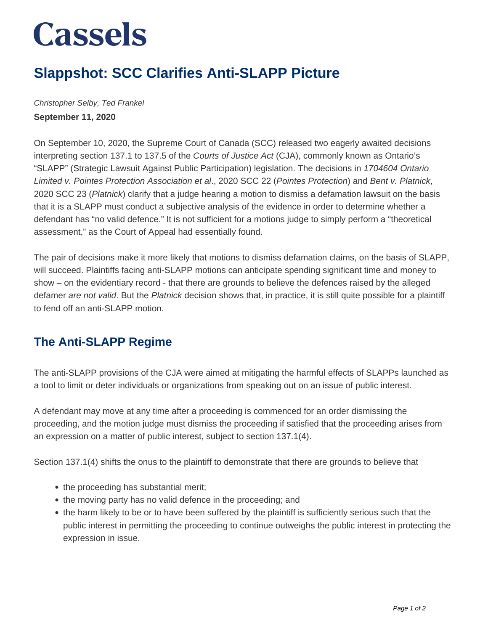# **Cassels**

### **Slappshot: SCC Clarifies Anti-SLAPP Picture**

Christopher Selby, Ted Frankel **September 11, 2020**

On September 10, 2020, the Supreme Court of Canada (SCC) released two eagerly awaited decisions interpreting section 137.1 to 137.5 of the Courts of Justice Act (CJA), commonly known as Ontario's "SLAPP" (Strategic Lawsuit Against Public Participation) legislation. The decisions in 1704604 Ontario Limited v. Pointes Protection Association et al., 2020 SCC 22 (Pointes Protection) and Bent v. Platnick, 2020 SCC 23 (Platnick) clarify that a judge hearing a motion to dismiss a defamation lawsuit on the basis that it is a SLAPP must conduct a subjective analysis of the evidence in order to determine whether a defendant has "no valid defence." It is not sufficient for a motions judge to simply perform a "theoretical assessment," as the Court of Appeal had essentially found.

The pair of decisions make it more likely that motions to dismiss defamation claims, on the basis of SLAPP, will succeed. Plaintiffs facing anti-SLAPP motions can anticipate spending significant time and money to show – on the evidentiary record - that there are grounds to believe the defences raised by the alleged defamer are not valid. But the Platnick decision shows that, in practice, it is still quite possible for a plaintiff to fend off an anti-SLAPP motion.

### **The Anti-SLAPP Regime**

The anti-SLAPP provisions of the CJA were aimed at mitigating the harmful effects of SLAPPs launched as a tool to limit or deter individuals or organizations from speaking out on an issue of public interest.

A defendant may move at any time after a proceeding is commenced for an order dismissing the proceeding, and the motion judge must dismiss the proceeding if satisfied that the proceeding arises from an expression on a matter of public interest, subject to section 137.1(4).

Section 137.1(4) shifts the onus to the plaintiff to demonstrate that there are grounds to believe that

- the proceeding has substantial merit;
- the moving party has no valid defence in the proceeding; and
- the harm likely to be or to have been suffered by the plaintiff is sufficiently serious such that the public interest in permitting the proceeding to continue outweighs the public interest in protecting the expression in issue.